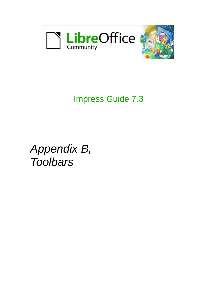

# Impress Guide 7.3

*Appendix B, Toolbars*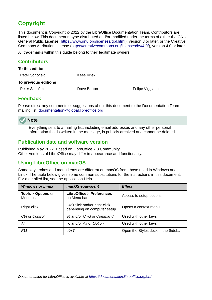# <span id="page-1-4"></span>**Copyright**

This document is Copyright © 2022 by the LibreOffice Documentation Team. Contributors are listed below. This document maybe distributed and/or modified under the terms of either the GNU General Public License (<https://www.gnu.org/licenses/gpl.html>), version 3 or later, or the Creative Commons Attribution License (<https://creativecommons.org/licenses/by/4.0/>), version 4.0 or later.

All trademarks within this guide belong to their legitimate owners.

### <span id="page-1-3"></span>**Contributors**

| To this edition      |             |                 |
|----------------------|-------------|-----------------|
| Peter Schofield      | Kees Kriek  |                 |
| To previous editions |             |                 |
| Peter Schofield      | Dave Barton | Felipe Viggiano |
|                      |             |                 |

# <span id="page-1-2"></span>**Feedback**

Please direct any comments or suggestions about this document to the Documentation Team mailing list: [documentation@global.libreoffice.org](mailto:documentation@global.libreoffice.org)

# **Note**

Everything sent to a mailing list, including email addresses and any other personal information that is written in the message, is publicly archived and cannot be deleted.

# <span id="page-1-1"></span>**Publication date and software version**

Published May 2022. Based on LibreOffice 7.3 Community. Other versions of LibreOffice may differ in appearance and functionality.

# <span id="page-1-0"></span>**Using LibreOffice on macOS**

Some keystrokes and menu items are different on macOS from those used in Windows and Linux. The table below gives some common substitutions for the instructions in this document. For a detailed list, see the application Help.

| <b>Windows or Linux</b>                  | macOS equivalent                                             | <b>Effect</b>                       |
|------------------------------------------|--------------------------------------------------------------|-------------------------------------|
| <b>Tools &gt; Options on</b><br>Menu bar | <b>LibreOffice &gt; Preferences</b><br>on Menu bar           | Access to setup options             |
| Right-click                              | Ctrl+click and/or right-click<br>depending on computer setup | Opens a context menu                |
| Ctrl or Control                          | <b><math>\frac{1}{2}</math></b> and/or Cmd or Command        | Used with other keys                |
| Alt                                      | <b>∖</b> and/or <i>Alt</i> or <i>Option</i>                  | Used with other keys                |
| F <sub>11</sub>                          | $\mathcal{H} + \mathcal{T}$                                  | Open the Styles deck in the Sidebar |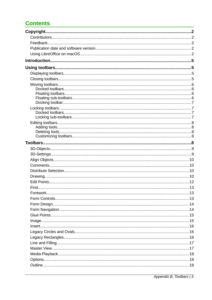# **Contents**

| Find. |  |
|-------|--|
|       |  |
|       |  |
|       |  |
|       |  |
|       |  |
|       |  |
|       |  |
|       |  |
|       |  |
|       |  |
|       |  |
|       |  |
|       |  |
|       |  |

Appendix B, Toolbars | 3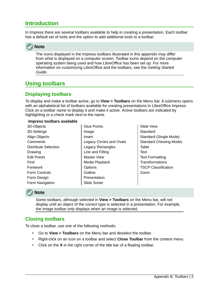# <span id="page-4-3"></span>**Introduction**

In Impress there are several toolbars available to help in creating a presentation. Each toolbar has a default set of tools and the option to add additional tools to a toolbar.



The icons displayed in the Impress toolbars illustrated in this appendix may differ from what is displayed on a computer screen. Toolbar icons depend on the computer operating system being used and how LibreOffice has been set up. For more information on customizing LibreOffice and the toolbars, see the *Getting Started Guide*.

# <span id="page-4-2"></span>**Using toolbars**

# <span id="page-4-1"></span>**Displaying toolbars**

To display and make a toolbar active, go to **View > Toolbars** on the Menu bar. A submenu opens with an alphabetical list of toolbars available for creating presentations in LibreOffice Impress. Click on a toolbar name to display it and make it active. Active toolbars are indicated by highlighting or a check mark next to the name.

#### **Impress toolbars available**

- 3D-Objects 3D-Settings Align Objects **Comments** Distribute Selection Drawing Edit Points Find Fontwork Form Controls Form Design Form Navigation
- Glue Points Image Insert Legacy Circles and Ovals Legacy Rectangles Line and Filling Master View Media Playback **Options Outline** Presentation Slide Sorter
- Slide View **Standard** Standard (Single Mode) Standard (Viewing Mode) Table **Text** Text Formatting **Transformations** TSCP Classification Zoom

# **Note**

Some toolbars, although selected in **View > Toolbars** on the Menu bar, will not display until an object of the correct type is selected in a presentation. For example, the Image toolbar only displays when an image is selected.

# <span id="page-4-0"></span>**Closing toolbars**

To close a toolbar, use one of the following methods:

- Go to **View > Toolbars** on the Menu bar and deselect the toolbar.
- Right-click on an icon on a toolbar and select **Close Toolbar** from the context menu.
- Click on the **X** in the right corner of the title bar of a floating toolbar.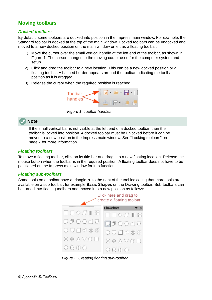# <span id="page-5-3"></span>**Moving toolbars**

#### <span id="page-5-2"></span>*Docked toolbars*

By default, some toolbars are docked into position in the Impress main window. For example, the Standard toolbar is docked at the top of the main window. Docked toolbars can be undocked and moved to a new docked position on the main window or left as a floating toolbar.

- 1) Move the cursor over the small vertical handle at the left end of the toolbar, as shown in Figure [1](#page-5-4). The cursor changes to the moving cursor used for the computer system and setup.
- 2) Click and drag the toolbar to a new location. This can be a new docked position or a floating toolbar. A hashed border appears around the toolbar indicating the toolbar position as it is dragged.
- 3) Release the cursor when the required position is reached.

<span id="page-5-4"></span>

*Figure 1: Toolbar handles*

# **Note**

If the small vertical bar is not visible at the left end of a docked toolbar, then the toolbar is locked into position. A docked toolbar must be unlocked before it can be moved to a new position in the Impress main window. See "[Locking toolbars](#page-6-2)" on page [7](#page-6-2) for more information.

#### <span id="page-5-1"></span>*Floating toolbars*

To move a floating toolbar, click on its title bar and drag it to a new floating location. Release the mouse button when the toolbar is in the required position. A floating toolbar does not have to be positioned on the Impress main window for it to function.

#### <span id="page-5-0"></span>*Floating sub-toolbars*

Some tools on a toolbar have a triangle  $\blacktriangledown$  to the right of the tool indicating that more tools are available on a sub-toolbar, for example **Basic Shapes** on the Drawing toolbar. Sub-toolbars can be turned into floating toolbars and moved into a new position as follows:



<span id="page-5-5"></span>*Figure 2: Creating floating sub-toolbar*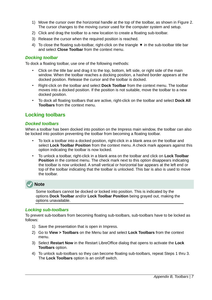- 1) Move the cursor over the horizontal handle at the top of the toolbar, as shown in Figure [2](#page-5-5). The cursor changes to the moving cursor used for the computer system and setup.
- 2) Click and drag the toolbar to a new location to create a floating sub-toolbar.
- 3) Release the cursor when the required position is reached.
- 4) To close the floating sub-toolbar, right-click on the triangle ▼ in the sub-toolbar title bar and select **Close Toolbar** from the context menu.

#### <span id="page-6-3"></span>*Docking toolbar*

To dock a floating toolbar, use one of the following methods:

- Click on the title bar and drag it to the top, bottom, left side, or right side of the main window. When the toolbar reaches a docking position, a hashed border appears at the docked position. Release the cursor and the toolbar is docked.
- Right-click on the toolbar and select **Dock Toolbar** from the context menu. The toolbar moves into a docked position. If the position is not suitable, move the toolbar to a new docked position.
- To dock all floating toolbars that are active, right-click on the toolbar and select **Dock All Toolbars** from the context menu.

# <span id="page-6-2"></span>**Locking toolbars**

#### <span id="page-6-1"></span>*Docked toolbars*

When a toolbar has been docked into position on the Impress main window, the toolbar can also be locked into position preventing the toolbar from becoming a floating toolbar.

- To lock a toolbar into a docked position, right-click in a blank area on the toolbar and select **Lock Toolbar Position** from the context menu. A check mark appears against this option indicating the toolbar is now locked.
- To unlock a toolbar, right-click in a blank area on the toolbar and click on **Lock Toolbar Position** in the context menu. The check mark next to this option disappears indicating the toolbar is now unlocked. A small vertical or horizontal bar appears at the left end or top of the toolbar indicating that the toolbar is unlocked. This bar is also is used to move the toolbar.



Some toolbars cannot be docked or locked into position. This is indicated by the options **Dock Toolbar** and/or **Lock Toolbar Position** being grayed out, making the options unavailable.

#### <span id="page-6-0"></span>*Locking sub-toolbars*

To prevent sub-toolbars from becoming floating sub-toolbars, sub-toolbars have to be locked as follows:

- 1) Save the presentation that is open in Impress.
- 2) Go to **View > Toolbars** on the Menu bar and select **Lock Toolbars** from the context menu.
- 3) Select **Restart Now** in the Restart LibreOffice dialog that opens to activate the **Lock Toolbars** option.
- 4) To unlock sub-toolbars so they can become floating sub-toolbars, repeat Steps 1 thru 3. The **Lock Toolbars** option is an on/off switch.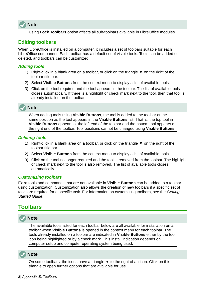

Using **Lock Toolbars** option affects all sub-toolbars available in LibreOffice modules.

# <span id="page-7-4"></span>**Editing toolbars**

When LibreOffice is installed on a computer, it includes a set of toolbars suitable for each LibreOffice component. Each toolbar has a default set of visible tools. Tools can be added or deleted, and toolbars can be customized.

#### <span id="page-7-3"></span>*Adding tools*

- 1) Right-click in a blank area on a toolbar, or click on the triangle  $\blacktriangledown$  on the right of the toolbar title bar.
- 2) Select **Visible Buttons** from the context menu to display a list of available tools.
- 3) Click on the tool required and the tool appears in the toolbar. The list of available tools closes automatically. If there is a highlight or check mark next to the tool, then that tool is already installed on the toolbar.



When adding tools using **Visible Buttons**, the tool is added to the toolbar at the same position as the tool appears in the **Visible Buttons** list. That is, the top tool in **Visible Buttons** appears at the left end of the toolbar and the bottom tool appears at the right end of the toolbar. Tool positions cannot be changed using **Visible Buttons**.

#### <span id="page-7-2"></span>*Deleting tools*

- 1) Right-click in a blank area on a toolbar, or click on the triangle  $\blacktriangledown$  on the right of the toolbar title bar.
- 2) Select **Visible Buttons** from the context menu to display a list of available tools.
- 3) Click on the tool no longer required and the tool is removed from the toolbar. The highlight or check mark next to the tool is also removed. The list of available tools closes automatically.

#### <span id="page-7-1"></span>*Customizing toolbars*

Extra tools and commands that are not available in **Visible Buttons** can be added to a toolbar using customization. Customization also allows the creation of new toolbars if a specific set of tools are required for a specific task. For information on customizing toolbars, see the *Getting Started Guide*.

# <span id="page-7-0"></span>**Toolbars**

# **Note**

The available tools listed for each toolbar below are all available for installation on a toolbar when **Visible Buttons** is opened in the context menu for each toolbar. The tools already installed on a toolbar are indicated in **Visible Buttons** either by the tool icon being highlighted or by a check mark. This install indication depends on computer setup and computer operating system being used.



On some toolbars, the icons have a triangle  $\blacktriangledown$  to the right of an icon. Click on this triangle to open further options that are available for use.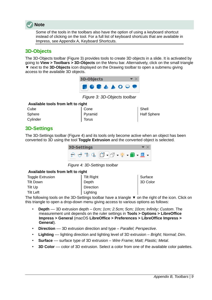

Some of the tools in the toolbars also have the option of using a keyboard shortcut instead of clicking on the tool. For a full list of keyboard shortcuts that are available in Impress, see Appendix A, Keyboard Shortcuts.

# <span id="page-8-1"></span>**3D-Objects**

The 3D-Objects toolbar (Figure [3\)](#page-8-3) provides tools to create 3D objects in a slide. It is activated by going to **View > Toolbars > 3D-Objects** on the Menu bar. Alternatively, click on the small triangle ▼ next to the **3D-Objects** icon displayed on the Drawing toolbar to open a submenu giving access to the available 3D objects.



<span id="page-8-3"></span>*Figure 3: 3D-Objects toolbar*

#### **Available tools from left to right**

| Cube     |  |
|----------|--|
| Sphere   |  |
| Cylinder |  |

Cone Pyramid **Torus** 

Shell Half Sphere

# <span id="page-8-0"></span>**3D-Settings**

The 3D-Settings toolbar (Figure [4](#page-8-2)) and its tools only become active when an object has been converted to 3D using the tool **Toggle Extrusion** and the converted object is selected.

<span id="page-8-2"></span>

*Figure 4: 3D-Settings toolbar*

#### **Available tools from left to right**

| <b>Toggle Extrusion</b> | Tilt Right | Surface  |
|-------------------------|------------|----------|
| Tilt Down               | Depth      | 3D Color |
| Tilt Up                 | Direction  |          |
| <b>Tilt Left</b>        | Lighting   |          |

The following tools on the 3D-Settings toolbar have a triangle  $\blacktriangledown$  on the right of the icon. Click on this triangle to open a drop-down menu giving access to various options as follows:

- **Depth** –– 3D extrusion depth *0cm; 1cm; 2.5cm; 5cm; 10cm; Infinity; Custom*. The measurement unit depends on the ruler settings in **Tools > Options > LibreOffice Impress > General** (macOS **LibreOffice > Preferences > LibreOffice Impress > General**).
- **Direction** –– 3D extrusion direction and type *Parallel; Perspective*.
- **Lighting** –– lighting direction and lighting level of 3D extrusion *Bright; Normal; Dim*.
- **Surface** –– surface type of 3D extrusion *Wire Frame; Matt; Plastic; Metal*.
- **3D Color** color of 3D extrusion. Select a color from one of the available color palettes.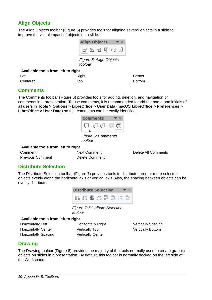# <span id="page-9-3"></span>**Align Objects**

The Align Objects toolbar (Figure [5](#page-9-6)) provides tools for aligning several objects in a slide to improve the visual impact of objects on a slide.

<span id="page-9-6"></span>

*Figure 5: Align Objects toolbar*

#### **Available tools from left to right**

| Left     | Right       | Center |
|----------|-------------|--------|
| Centered | $\vert$ Top | Bottom |

### <span id="page-9-2"></span>**Comments**

The Comments toolbar (Figure [6](#page-9-5)) provides tools for adding, deletion, and navigation of comments in a presentation. To use comments, it is recommended to add the name and initials of all users in **Tools > Options > LibreOffice > User Data** (macOS **LibreOffice > Preferences > LibreOffice > User Data**) so that comments can be easily identified.

<span id="page-9-5"></span>

*Figure 6: Comments toolbar*

#### **Available tools from left to right**

| Comment                 | Next Comment   |
|-------------------------|----------------|
| <b>Previous Comment</b> | Delete Comment |

Delete All Comments

# <span id="page-9-1"></span>**Distribute Selection**

The Distribute Selection toolbar (Figure [7\)](#page-9-4) provides tools to distribute three or more selected objects evenly along the horizontal axis or vertical axis. Also, the spacing between objects can be evenly distributed.



*Figure 7: Distribute Selection toolbar*

#### **Available tools from left to right**

Horizontally Left Horizontally Center Horizontally Spacing <span id="page-9-4"></span>Horizontally Right Vertically Top Vertically Center

Vertically Spacing Vertically Bottom

# <span id="page-9-0"></span>**Drawing**

The Drawing toolbar (Figure [8](#page-10-0)) provides the majority of the tools normally used to create graphic objects on slides in a presentation. By default, this toolbar is normally docked on the left side of the Workspace.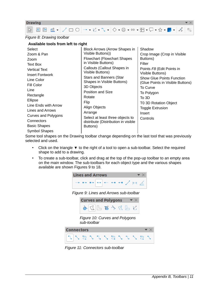

#### *Figure 8: Drawing toolbar*

#### <span id="page-10-0"></span>**Available tools from left to right**

Some tool shapes on the Drawing toolbar change depending on the last tool that was previously selected and used.

- Click on the triangle ▼ to the right of a tool to open a sub-toolbar. Select the required shape to add to a drawing.
- To create a sub-toolbar, click and drag at the top of the pop-up toolbar to an empty area on the main window. The sub-toolbars for each object type and the various shapes available are shown Figures [9](#page-10-1) to [18](#page-11-1).

<span id="page-10-1"></span>

*Figure 11: Connectors sub-toolbar*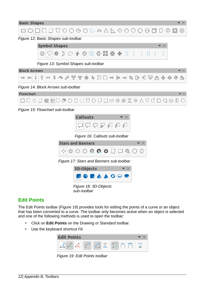

# <span id="page-11-0"></span>**Edit Points**

The Edit Points toolbar (Figure [19\)](#page-11-2) provides tools for editing the points of a curve or an object that has been converted to a curve. The toolbar only becomes active when an object is selected and one of the following methods is used to open the toolbar:

- Click on **Edit Points** on the Drawing or Standard toolbar.
- Use the keyboard shortcut *F8*.

<span id="page-11-2"></span><span id="page-11-1"></span>

*Figure 19: Edit Points toolbar*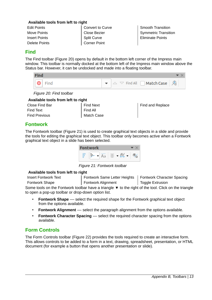#### **Available tools from left to right**

Edit Points Move Points Insert Points Delete Points Convert to Curve Close Bezier Split Curve Corner Point

Smooth Transition Symmetric Transition Eliminate Points

# <span id="page-12-2"></span>**Find**

The Find toolbar (Figure [20](#page-12-4)) opens by default in the bottom left corner of the Impress main window. This toolbar is normally docked at the bottom left of the Impress main window above the Status bar. However, it can be undocked and made into a floating toolbar.

| <b>Find</b>          |                                                                  |
|----------------------|------------------------------------------------------------------|
| $\boxed{\odot}$ Find | $\bullet$ $\sim$ $\sim$ Find All $\Box$ <b>Match Case</b> $\Box$ |
|                      |                                                                  |

<span id="page-12-4"></span>*Figure 20: Find toolbar*

#### **Available tools from left to right**

| Close Find Bar       |  |  |
|----------------------|--|--|
| <b>Find Text</b>     |  |  |
| <b>Find Previous</b> |  |  |

Find Next Find All Match Case

| Find and Replace |  |  |
|------------------|--|--|
|------------------|--|--|

# <span id="page-12-1"></span>**Fontwork**

The Fontwork toolbar (Figure [21](#page-12-3)) is used to create graphical text objects in a slide and provide the tools for editing the graphical text object. This toolbar only becomes active when a Fontwork graphical text object in a slide has been selected.

<span id="page-12-3"></span>

*Figure 21: Fontwork toolbar*

#### **Available tools from left to right**

Insert Fontwork Text Fontwork Shape Fontwork Same Letter Heights Fontwork Character Spacing Fontwork Alignment Toggle Extrusion

Some tools on the Fontwork toolbar have a triangle  $\blacktriangledown$  to the right of the tool. Click on the triangle to open a pop-up toolbar or drop-down option list.

- **Fontwork Shape** select the required shape for the Fontwork graphical text object from the options available.
- **Fontwork Alignment** –– select the paragraph alignment from the options available.
- **Fontwork Character Spacing** –– select the required character spacing from the options available.

# <span id="page-12-0"></span>**Form Controls**

The Form Controls toolbar (Figure [22\)](#page-13-2) provides the tools required to create an interactive form. This allows controls to be added to a form in a text, drawing, spreadsheet, presentation, or HTML document (for example a button that opens another presentation or slide).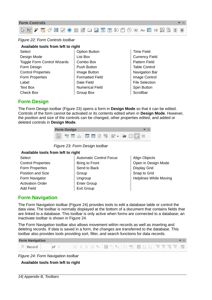

#### <span id="page-13-2"></span>*Figure 22: Form Controls toolbar*

**Select** Design Mode Toggle Form Control Wizards Form Design Control Properties Form Properties Label Text Box Check Box

Option Button List Box Combo Box Push Button Image Button Formatted Field Date Field Numerical Field Group Box

Time Field Currency Field Pattern Field Table Control Navigation Bar Image Control File Selection Spin Button **Scrollbar** 

### <span id="page-13-1"></span>**Form Design**

The Form Design toolbar (Figure [23](#page-13-4)) opens a form in **Design Mode** so that it can be edited. Controls of the form cannot be activated or its contents edited when in **Design Mode**. However, the position and size of the controls can be changed, other properties edited, and added or deleted controls in **Design Mode**.



*Figure 23: Form Design toolbar*

#### **Available tools from left to right**

| Select                    |
|---------------------------|
| <b>Control Properties</b> |
| <b>Form Properties</b>    |
| <b>Position and Size</b>  |
| Form Navigator            |
| <b>Activation Order</b>   |
| Add Field                 |

- <span id="page-13-4"></span>Automatic Control Focus Bring to Front Send to Back Group **Ungroup** Enter Group Exit Group
- Align Objects Open in Design Mode Display Grid Snap to Grid Helplines While Moving

# <span id="page-13-0"></span>**Form Navigation**

The Form Navigation toolbar (Figure [24\)](#page-13-3) provides tools to edit a database table or control the data view. The toolbar is normally displayed at the bottom of a document that contains fields that are linked to a database. This toolbar is only active when forms are connected to a database; an inactivate toolbar is shown in Figure [24](#page-13-3).

The Form Navigation toolbar also allows movement within records as well as inserting and deleting records. If data is saved in a form, the changes are transferred to the database. This toolbar also provides tools providing sort, filter, and search functions for data records.



*Figure 24: Form Navigation toolbar*

#### <span id="page-13-3"></span>**Available tools from left to right**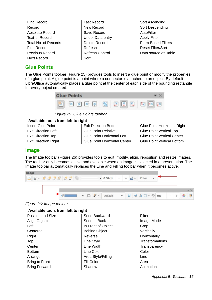| Find Record          |
|----------------------|
| Record               |
| Absolute Record      |
| Text -> Record       |
| Total No. of Records |
| First Record         |
| Previous Record      |
| Next Record          |

- Last Record New Record Save Record Undo: Data entry Delete Record Refresh Refresh Control Sort
- Sort Ascending Sort Descending AutoFilter Apply Filter Form-Based Filters Reset Filter/Sort Data source as Table

# <span id="page-14-1"></span>**Glue Points**

The Glue Points toolbar (Figure [25\)](#page-14-3) provides tools to insert a glue point or modify the properties of a glue point. A glue point is a point where a connector is attached to an object. By default, LibreOffice automatically places a glue point at the center of each side of the bounding rectangle for every object created.



*Figure 25: Glue Points toolbar*

#### **Available tools from left to right**

Insert Glue Point Exit Direction Left Exit Direction Top Exit Direction Right <span id="page-14-3"></span>Exit Direction Bottom Glue Point Relative Glue Point Horizontal Left Glue Point Horizontal Center

Glue Point Horizontal Right Glue Point Vertical Top Glue Point Vertical Center Glue Point Vertical Bottom

#### <span id="page-14-0"></span>**Image**

The Image toolbar (Figure [26](#page-14-2)) provides tools to edit, modify, align, reposition and resize images. The toolbar only becomes active and available when an image is selected in a presentation. The Image toolbar automatically replaces the Line and Filling toolbar when it becomes active.



#### <span id="page-14-2"></span>*Figure 26: Image toolbar*

| Available tools from left to right |                      |                 |  |  |
|------------------------------------|----------------------|-----------------|--|--|
| Position and Size                  | Send Backward        | Filter          |  |  |
| Align Objects                      | Send to Back         | Image Mode      |  |  |
| Left                               | In Front of Object   | Crop            |  |  |
| Centered                           | <b>Behind Object</b> | Vertically      |  |  |
| Right                              | Reverse              | Horizontally    |  |  |
| <b>Top</b>                         | Line Style           | Transformations |  |  |
| Center                             | Line Width           | Transparency    |  |  |
| <b>Bottom</b>                      | Line Color           | Color           |  |  |
| Arrange                            | Area Style/Filling   | Line            |  |  |
| <b>Bring to Front</b>              | Fill Color           | Area            |  |  |
| <b>Bring Forward</b>               | Shadow               | Animation       |  |  |
|                                    |                      |                 |  |  |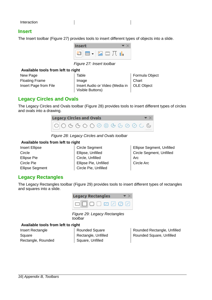#### <span id="page-15-2"></span>**Insert**

The Insert toolbar (Figure [27](#page-15-5)) provides tools to insert different types of objects into a slide.

 $\overline{\phantom{a}}$ 



*Figure 27: Insert toolbar*

#### **Available tools from left to right**

New Page Floating Frame Insert Page from File <span id="page-15-5"></span>Table Image Insert Audio or Video (Media in Visible Buttons)

Formula Object **Chart** OLE Object

### <span id="page-15-1"></span>**Legacy Circles and Ovals**

The Legacy Circles and Ovals toolbar (Figure [28\)](#page-15-4) provides tools to insert different types of circles and ovals into a drawing.



*Figure 28: Legacy Circles and Ovals toolbar*

#### **Available tools from left to right**

Insert Ellipse **Circle** Ellipse Pie Circle Pie Ellipse Segment <span id="page-15-4"></span>Circle Segment Ellipse, Unfilled Circle, Unfilled Ellipse Pie, Unfilled Circle Pie, Unfilled

Ellipse Segment, Unfilled Circle Segment, Unfilled Arc Circle Arc

# <span id="page-15-0"></span>**Legacy Rectangles**

The Legacy Rectangles toolbar (Figure [29\)](#page-15-3) provides tools to insert different types of rectangles and squares into a slide.



*Figure 29: Legacy Rectangles toolbar*

#### **Available tools from left to right**

Insert Rectangle Square Rectangle, Rounded

<span id="page-15-3"></span>Rounded Square Rectangle, Unfilled Square, Unfilled

Rounded Rectangle, Unfilled Rounded Square, Unfilled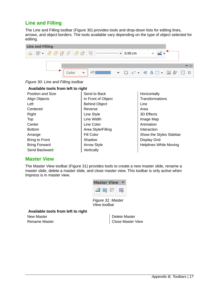# <span id="page-16-1"></span>**Line and Filling**

The Line and Filling toolbar (Figure [30\)](#page-16-3) provides tools and drop-down lists for editing lines, arrows, and object borders. The tools available vary depending on the type of object selected for editing.



*Figure 30: Line and Filling toolbar*

<span id="page-16-3"></span>

| Available tools from left to right |                      |                               |  |  |
|------------------------------------|----------------------|-------------------------------|--|--|
| Position and Size                  | Send to Back         | Horizontally                  |  |  |
| Align Objects                      | In Front of Object   | <b>Transformations</b>        |  |  |
| Left                               | <b>Behind Object</b> | Line                          |  |  |
| Centered                           | Reverse              | Area                          |  |  |
| Right                              | Line Style           | 3D Effects                    |  |  |
| Top                                | Line Width           | Image Map                     |  |  |
| Center                             | Line Color           | Animation                     |  |  |
| <b>Bottom</b>                      | Area Style/Filling   | Interaction                   |  |  |
| Arrange                            | Fill Color           | Show the Styles Sidebar       |  |  |
| <b>Bring to Front</b>              | Shadow               | <b>Display Grid</b>           |  |  |
| <b>Bring Forward</b>               | <b>Arrow Style</b>   | <b>Helplines While Moving</b> |  |  |
| Send Backward                      | Vertically           |                               |  |  |

# <span id="page-16-0"></span>**Master View**

The Master View toolbar (Figure [31](#page-16-2)) provides tools to create a new master slide, rename a master slide, delete a master slide, and close master view. This toolbar is only active when Impress is in master view.

| <b>Aaster</b> | ew |  |
|---------------|----|--|
|               |    |  |
|               |    |  |

<span id="page-16-2"></span>*Figure 31: Master View toolbar*

**Available tools from left to right**

New Master Rename Master

Delete Master Close Master View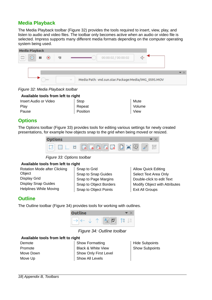# <span id="page-17-2"></span>**Media Playback**

The Media Playback toolbar (Figure [32\)](#page-17-5) provides the tools required to insert, view, play, and listen to audio and video files. The toolbar only becomes active when an audio or video file is selected. Impress supports many different media formats depending on the computer operating system being used.

| $\mu$ mm<br>×<br>land | п<br>$\left( \begin{matrix} \blacksquare \end{matrix} \right)$ | 喝 | 00:00:02 / 00:00:02 |  |
|-----------------------|----------------------------------------------------------------|---|---------------------|--|
|                       |                                                                |   |                     |  |

<span id="page-17-5"></span>*Figure 32: Media Playback toolbar*

| Available tools from left to right |          |             |  |
|------------------------------------|----------|-------------|--|
| Insert Audio or Video              | Stop     | Mute        |  |
| Play                               | Repeat   | Volume      |  |
| Pause                              | Position | <b>View</b> |  |

# <span id="page-17-1"></span>**Options**

The Options toolbar (Figure [33\)](#page-17-4) provides tools for editing various settings for newly created presentations, for example how objects snap to the grid when being moved or resized.

<span id="page-17-4"></span>

*Figure 33: Options toolbar*

#### **Available tools from left to right**

| Rotation Mode after Clicking  | Snap to Grid           | <b>Allow Quick Editing</b>           |
|-------------------------------|------------------------|--------------------------------------|
| Object                        | Snap to Snap Guides    | Select Text Area Only                |
| <b>Display Grid</b>           | Snap to Page Margins   | Double-click to edit Text            |
| <b>Display Snap Guides</b>    | Snap to Object Borders | <b>Modify Object with Attributes</b> |
| <b>Helplines While Moving</b> | Snap to Object Points  | Exit All Groups                      |
|                               |                        |                                      |

# <span id="page-17-0"></span>**Outline**

The Outline toolbar (Figure [34\)](#page-17-3) provides tools for working with outlines.



*Figure 34: Outline toolbar*

#### **Available tools from left to right**

Demote Promote Move Down Move Up

<span id="page-17-3"></span>Show Formatting Black & White View Show Only First Level Show All Levels

Hide Subpoints Show Subpoints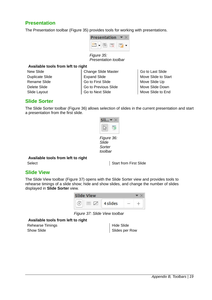# <span id="page-18-2"></span>**Presentation**

The Presentation toolbar (Figure [35\)](#page-18-5) provides tools for working with presentations.

<span id="page-18-5"></span>

*Figure 35: Presentation toolbar*

#### **Available tools from left to right**

New Slide Duplicate Slide Rename Slide Delete Slide Slide Layout

Change Slide Master Expand Slide Go to First Slide Go to Previous Slide Go to Next Slide

Go to Last Slide Move Slide to Start Move Slide Up Move Slide Down Move Slide to End

#### <span id="page-18-1"></span>**Slide Sorter**

The Slide Sorter toolbar (Figure [36](#page-18-4)) allows selection of slides in the current presentation and start a presentation from the first slide.

<span id="page-18-4"></span>

# **Available tools from left to right**

Select Select Select Start from First Slide

#### <span id="page-18-0"></span>**Slide View**

The Slide View toolbar (Figure [37](#page-18-3)) opens with the Slide Sorter view and provides tools to rehearse timings of a slide show; hide and show slides, and change the number of slides displayed in **Slide Sorter** view.

<span id="page-18-3"></span>

*Figure 37: Slide View toolbar*

#### **Available tools from left to right**

Rehearse Timings Show Slide

| Hide Slide     |
|----------------|
| Slides per Row |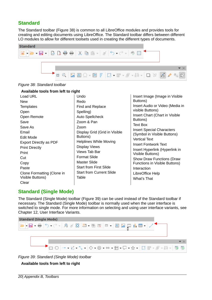# <span id="page-19-1"></span>**Standard**

The Standard toolbar (Figure [38\)](#page-19-3) is common to all LibreOffice modules and provides tools for creating and editing documents using LibreOffice. The Standard toolbar differs between different LO modules to allow for different toolsets used in creating the different types of documents.



*Figure 38: Standard toolbar*

#### <span id="page-19-3"></span>**Available tools from left to right**

| Load URL                   | Undo                            | Insert Image (Image in Visible   |
|----------------------------|---------------------------------|----------------------------------|
| <b>New</b>                 | Redo                            | Buttons)                         |
| <b>Templates</b>           | Find and Replace                | Insert Audio or Video (Media in  |
| Open                       | Spelling)                       | visible Buttons)                 |
| Open Remote                | <b>Auto Spellcheck</b>          | Insert Chart (Chart in Visible   |
| Save                       | Zoom & Pan                      | Buttons)                         |
| Save As                    | Zoom                            | Text Box                         |
| Email                      | Display Grid (Grid in Visible   | <b>Insert Special Characters</b> |
| Edit Mode                  | Buttons)                        | (Symbol in Visible Buttons)      |
| Export Directly as PDF     | <b>Helplines While Moving</b>   | <b>Vertical Text</b>             |
| <b>Print Directly</b>      | <b>Display Views</b>            | <b>Insert Fontwork Text</b>      |
| Print                      | Views Tab Bar                   | Insert Hyperlink (Hyperlink in   |
| Cut                        | <b>Format Slide</b>             | Visible Buttons)                 |
|                            | <b>Master Slide</b>             | Show Draw Functions (Draw        |
| Copy                       | <b>Start from First Slide</b>   | Functions in Visible Buttons)    |
| Paste                      |                                 | Interaction                      |
| Clone Formatting (Clone in | <b>Start from Current Slide</b> | LibreOffice Help                 |
| Visible Buttons)           | Table                           | What's That                      |
| Clear                      |                                 |                                  |

# <span id="page-19-0"></span>**Standard (Single Mode)**

The Standard (Single Mode) toolbar (Figure [39](#page-19-2)) can be used instead of the Standard toolbar if necessary. The Standard (Single Mode) toolbar is normally used when the user interface is switched to single mode. For more information on selecting and using user interface variants, see Chapter 12, User Interface Variants.



*Figure 39: Standard (Single Mode) toolbar*

<span id="page-19-2"></span>**Available tools from left to right**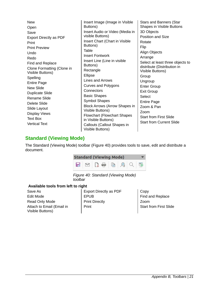New Open Save Export Directly as PDF Print Print Preview Undo Redo Find and Replace Clone Formatting (Clone in Visible Buttons) **Spelling** Entire Page New Slide Duplicate Slide Rename Slide Delete Slide Slide Layout Display Views Text Box Vertical Text

Insert Image (Image in Visible Buttons) Insert Audio or Video (Media in visible Buttons) Insert Chart (Chart in Visible Buttons) Table Insert Fontwork Insert Line (Line in visible Buttons) Rectangle Ellipse Lines and Arrows Curves and Polygons **Connectors** Basic Shapes Symbol Shapes Block Arrows (Arrow Shapes in Visible Buttons) Flowchart (Flowchart Shapes in Visible Buttons) Callouts (Callout Shapes in Visible Buttons)

Stars and Banners (Star Shapes in Visible Buttons 3D Objects Position and Size Rotate Flip Align Objects Arrange Select at least three objects to distribute (Distribution in Visible Buttons) Group Ungroup Enter Group Exit Group Select Entire Page Zoom & Pan Zoom Start from First Slide Start from Current Slide

# <span id="page-20-0"></span>**Standard (Viewing Mode)**

The Standard (Viewing Mode) toolbar (Figure [40\)](#page-20-1) provides tools to save, edit and distribute a document.



*Figure 40: Standard (Viewing Mode) toolbar*

#### **Available tools from left to right**

Save As Edit Mode Read Only Mode Attach to Email (Email in Visible Buttons)

<span id="page-20-1"></span>Export Directly as PDF EPUB Print Directly Print

Copy Find and Replace Zoom Start from First Slide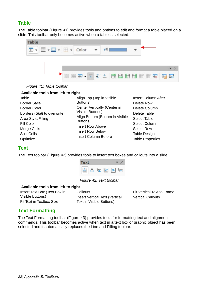# <span id="page-21-2"></span>**Table**

The Table toolbar (Figure [41](#page-21-4)) provides tools and options to edit and format a table placed on a slide. This toolbar only becomes active when a table is selected.



*Figure 41: Table toolbar*

#### <span id="page-21-4"></span>**Available tools from left to right**

Table Border Style Border Color Borders (*Shift* to overwrite) Area Style/Filling Fill Color Merge Cells Split Cells **Optimize** 

Align Top (Top in Visible Buttons) Center Vertically (Center in Visible Buttons) Align Bottom (Bottom in Visible Buttons) Insert Row Above Insert Row Below Insert Column Before

Insert Column After Delete Row Delete Column Delete Table Select Table Select Column Select Row Table Design Table Properties

# <span id="page-21-1"></span>**Text**

The Text toolbar (Figure [42](#page-21-3)) provides tools to insert text boxes and callouts into a slide



*Figure 42: Text toolbar*

#### **Available tools from left to right**

Insert Text Box (Text Box in Visible Buttons) Fit Text in Textbox Size

<span id="page-21-3"></span>**Callouts** Insert Vertical Text (Vertical Text in Visible Buttons)

Fit Vertical Text to Frame Vertical Callouts

# <span id="page-21-0"></span>**Text Formatting**

The Text Formatting toolbar (Figure [43\)](#page-22-1) provides tools for formatting text and alignment commands. This toolbar becomes active when text in a text box or graphic object has been selected and it automatically replaces the Line and Filling toolbar.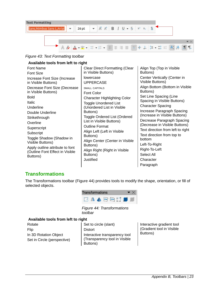

*Figure 43: Text Formatting toolbar*

<span id="page-22-1"></span>

| Available tools from left to right |                                       |                                                             |  |  |
|------------------------------------|---------------------------------------|-------------------------------------------------------------|--|--|
| Font Name                          | <b>Clear Direct Formatting (Clear</b> | Align Top (Top in Visible                                   |  |  |
| <b>Font Size</b>                   | in Visible Buttons)                   | Buttons)                                                    |  |  |
| Increase Font Size (Increase       | lowercase                             | Center Vertically (Center in                                |  |  |
| in Visible Buttons)                | <b>UPPERCASE</b>                      | Visible Buttons)                                            |  |  |
| Decrease Font Size (Decrease       | <b>SMALL CAPITALS</b>                 | Align Bottom (Bottom in Visible                             |  |  |
| in Visible Buttons)                | Font Color                            | Buttons)                                                    |  |  |
| <b>Bold</b>                        | <b>Character Highlighting Color</b>   | Set Line Spacing (Line                                      |  |  |
| <b>Italic</b>                      | <b>Toggle Unordered List</b>          | Spacing in Visible Buttons)                                 |  |  |
| Underline                          | (Unordered List in Visible            | <b>Character Spacing</b>                                    |  |  |
| Double Underline                   | Buttons)                              | Increase Paragraph Spacing                                  |  |  |
| Strikethrough                      | Toggle Ordered List (Ordered          | (Increase in Visible Buttons)                               |  |  |
| Overline                           | List in Visible Buttons)              | Decrease Paragraph Spacing<br>(Decrease in Visible Buttons) |  |  |
| Superscript                        | <b>Outline Format</b>                 | Text direction from left to right                           |  |  |
| Subscript                          | Align Left (Left in Visible           |                                                             |  |  |
| Toggle Shadow (Shadow in           | Buttons)                              | Text direction from top to<br>bottom                        |  |  |
| Visible Buttons)                   | Align Center (Center in Visible       | Left-To-Right                                               |  |  |
| Apply outline attribute to font    | Buttons)                              |                                                             |  |  |
| (Outline Font Effect in Visible    | Align Right (Right in Visible         | Right-To-Left                                               |  |  |
| Buttons)                           | Buttons)                              | Select All                                                  |  |  |
|                                    | Justified                             | Character                                                   |  |  |

# <span id="page-22-0"></span>**Transformations**

The Transformations toolbar (Figure [44\)](#page-22-2) provides tools to modify the shape, orientation, or fill of selected objects.



*Figure 44: Transformations toolbar*

#### **Available tools from left to right**

Rotate Flip In 3D Rotation Object Set in Circle (perspective)

<span id="page-22-2"></span>Set to circle (slant) Distort Interactive transparency tool (Transparency tool in Visible Buttons)

Interactive gradient tool (Gradient tool in Visible Buttons)

Paragraph